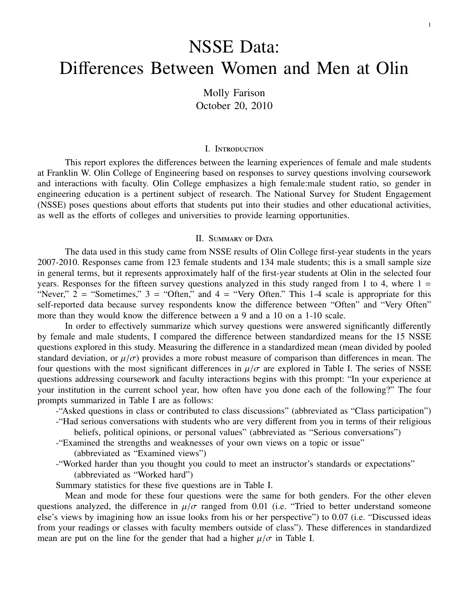# NSSE Data: Differences Between Women and Men at Olin

Molly Farison October 20, 2010

## I. Introduction

This report explores the differences between the learning experiences of female and male students at Franklin W. Olin College of Engineering based on responses to survey questions involving coursework and interactions with faculty. Olin College emphasizes a high female:male student ratio, so gender in engineering education is a pertinent subject of research. The National Survey for Student Engagement (NSSE) poses questions about efforts that students put into their studies and other educational activities, as well as the efforts of colleges and universities to provide learning opportunities.

#### II. SUMMARY OF DATA

The data used in this study came from NSSE results of Olin College first-year students in the years 2007-2010. Responses came from 123 female students and 134 male students; this is a small sample size in general terms, but it represents approximately half of the first-year students at Olin in the selected four years. Responses for the fifteen survey questions analyzed in this study ranged from 1 to 4, where  $1 =$ "Never,"  $2 =$  "Sometimes,"  $3 =$  "Often," and  $4 =$  "Very Often." This 1-4 scale is appropriate for this self-reported data because survey respondents know the difference between "Often" and "Very Often" more than they would know the difference between a 9 and a 10 on a 1-10 scale.

In order to effectively summarize which survey questions were answered significantly differently by female and male students, I compared the difference between standardized means for the 15 NSSE questions explored in this study. Measuring the difference in a standardized mean (mean divided by pooled standard deviation, or  $\mu/\sigma$ ) provides a more robust measure of comparison than differences in mean. The four questions with the most significant differences in  $\mu/\sigma$  are explored in Table I. The series of NSSE questions addressing coursework and faculty interactions begins with this prompt: "In your experience at your institution in the current school year, how often have you done each of the following?" The four prompts summarized in Table I are as follows:

-"Asked questions in class or contributed to class discussions" (abbreviated as "Class participation")

- -"Had serious conversations with students who are very different from you in terms of their religious beliefs, political opinions, or personal values" (abbreviated as "Serious conversations")
- -"Examined the strengths and weaknesses of your own views on a topic or issue" (abbreviated as "Examined views")
- -"Worked harder than you thought you could to meet an instructor's standards or expectations" (abbreviated as "Worked hard")

Summary statistics for these five questions are in Table I.

Mean and mode for these four questions were the same for both genders. For the other eleven questions analyzed, the difference in  $\mu/\sigma$  ranged from 0.01 (i.e. "Tried to better understand someone else's views by imagining how an issue looks from his or her perspective") to 0.07 (i.e. "Discussed ideas from your readings or classes with faculty members outside of class"). These differences in standardized mean are put on the line for the gender that had a higher  $\mu/\sigma$  in Table I.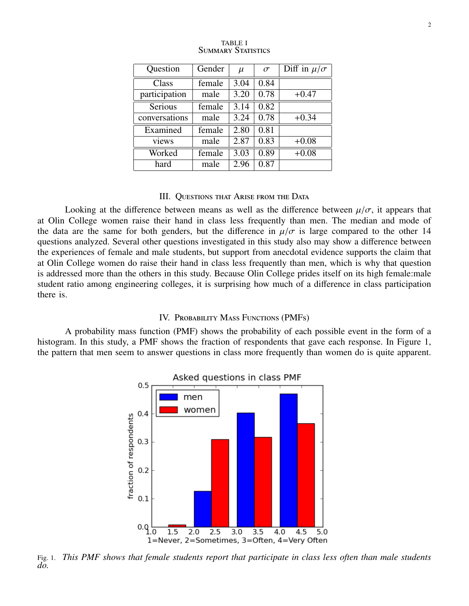| Question      | Gender | $\mu$ | $\sigma$ | Diff in $\mu/\sigma$ |
|---------------|--------|-------|----------|----------------------|
| Class         | female | 3.04  | 0.84     |                      |
| participation | male   | 3.20  | 0.78     | $+0.47$              |
| Serious       | female | 3.14  | 0.82     |                      |
| conversations | male   | 3.24  | 0.78     | $+0.34$              |
| Examined      | female | 2.80  | 0.81     |                      |
| views         | male   | 2.87  | 0.83     | $+0.08$              |
| Worked        | female | 3.03  | 0.89     | $+0.08$              |
| hard          | male   | 2.96  | 0.87     |                      |

| <b>TABLE I</b> |                           |  |  |  |
|----------------|---------------------------|--|--|--|
|                | <b>SUMMARY STATISTICS</b> |  |  |  |

#### III. Questions that Arise from the Data

Looking at the difference between means as well as the difference between  $\mu/\sigma$ , it appears that at Olin College women raise their hand in class less frequently than men. The median and mode of the data are the same for both genders, but the difference in  $\mu/\sigma$  is large compared to the other 14 questions analyzed. Several other questions investigated in this study also may show a difference between the experiences of female and male students, but support from anecdotal evidence supports the claim that at Olin College women do raise their hand in class less frequently than men, which is why that question is addressed more than the others in this study. Because Olin College prides itself on its high female:male student ratio among engineering colleges, it is surprising how much of a difference in class participation there is.

# IV. Probability Mass Functions (PMFs)

A probability mass function (PMF) shows the probability of each possible event in the form of a histogram. In this study, a PMF shows the fraction of respondents that gave each response. In Figure 1, the pattern that men seem to answer questions in class more frequently than women do is quite apparent.



Fig. 1. *This PMF shows that female students report that participate in class less often than male students do.*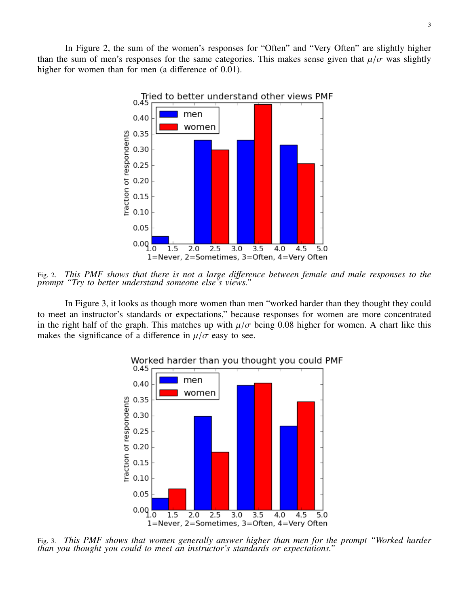

Fig. 2. *This PMF shows that there is not a large di*ff*erence between female and male responses to the prompt "Try to better understand someone else's views."*

In Figure 3, it looks as though more women than men "worked harder than they thought they could to meet an instructor's standards or expectations," because responses for women are more concentrated in the right half of the graph. This matches up with  $\mu/\sigma$  being 0.08 higher for women. A chart like this makes the significance of a difference in  $\mu/\sigma$  easy to see.



Fig. 3. *This PMF shows that women generally answer higher than men for the prompt "Worked harder than you thought you could to meet an instructor's standards or expectations."*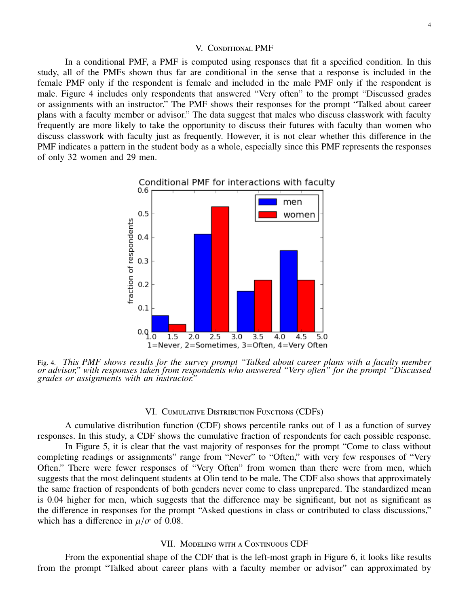#### V. Conditional PMF

In a conditional PMF, a PMF is computed using responses that fit a specified condition. In this study, all of the PMFs shown thus far are conditional in the sense that a response is included in the female PMF only if the respondent is female and included in the male PMF only if the respondent is male. Figure 4 includes only respondents that answered "Very often" to the prompt "Discussed grades or assignments with an instructor." The PMF shows their responses for the prompt "Talked about career plans with a faculty member or advisor." The data suggest that males who discuss classwork with faculty frequently are more likely to take the opportunity to discuss their futures with faculty than women who discuss classwork with faculty just as frequently. However, it is not clear whether this difference in the PMF indicates a pattern in the student body as a whole, especially since this PMF represents the responses of only 32 women and 29 men.



Fig. 4. *This PMF shows results for the survey prompt "Talked about career plans with a faculty member or advisor," with responses taken from respondents who answered "Very often" for the prompt "Discussed grades or assignments with an instructor."*

## VI. Cumulative Distribution Functions (CDFs)

A cumulative distribution function (CDF) shows percentile ranks out of 1 as a function of survey responses. In this study, a CDF shows the cumulative fraction of respondents for each possible response.

In Figure 5, it is clear that the vast majority of responses for the prompt "Come to class without completing readings or assignments" range from "Never" to "Often," with very few responses of "Very Often." There were fewer responses of "Very Often" from women than there were from men, which suggests that the most delinquent students at Olin tend to be male. The CDF also shows that approximately the same fraction of respondents of both genders never come to class unprepared. The standardized mean is 0.04 higher for men, which suggests that the difference may be significant, but not as significant as the difference in responses for the prompt "Asked questions in class or contributed to class discussions," which has a difference in  $\mu/\sigma$  of 0.08.

# VII. MODELING WITH A CONTINUOUS CDF

From the exponential shape of the CDF that is the left-most graph in Figure 6, it looks like results from the prompt "Talked about career plans with a faculty member or advisor" can approximated by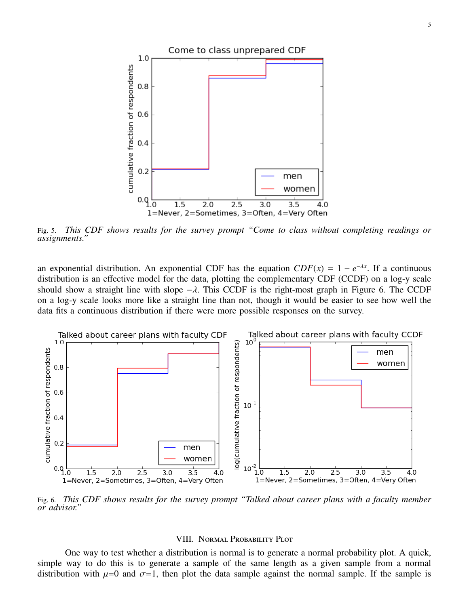

Fig. 5. *This CDF shows results for the survey prompt "Come to class without completing readings or assignments."*

an exponential distribution. An exponential CDF has the equation  $CDF(x) = 1 - e^{-\lambda x}$ . If a continuous distribution is an effective model for the data, plotting the complementary CDF (CCDF) on a log-y scale should show a straight line with slope  $-\lambda$ . This CCDF is the right-most graph in Figure 6. The CCDF on a log-y scale looks more like a straight line than not, though it would be easier to see how well the data fits a continuous distribution if there were more possible responses on the survey.



Fig. 6. *This CDF shows results for the survey prompt "Talked about career plans with a faculty member or advisor."*

## VIII. Normal Probability Plot

One way to test whether a distribution is normal is to generate a normal probability plot. A quick, simple way to do this is to generate a sample of the same length as a given sample from a normal distribution with  $\mu=0$  and  $\sigma=1$ , then plot the data sample against the normal sample. If the sample is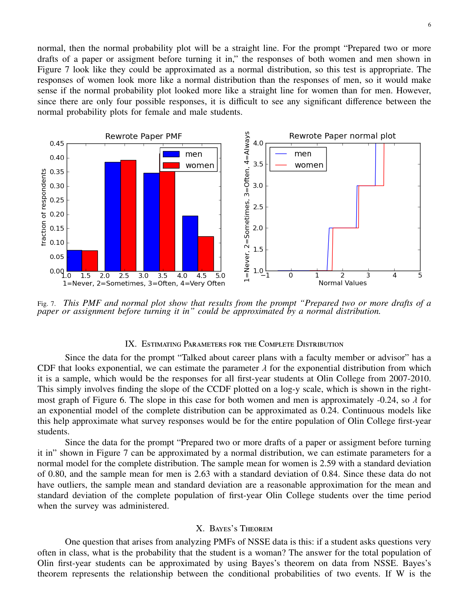normal, then the normal probability plot will be a straight line. For the prompt "Prepared two or more drafts of a paper or assigment before turning it in," the responses of both women and men shown in Figure 7 look like they could be approximated as a normal distribution, so this test is appropriate. The responses of women look more like a normal distribution than the responses of men, so it would make sense if the normal probability plot looked more like a straight line for women than for men. However, since there are only four possible responses, it is difficult to see any significant difference between the normal probability plots for female and male students.



Fig. 7. *This PMF and normal plot show that results from the prompt "Prepared two or more drafts of a paper or assignment before turning it in" could be approximated by a normal distribution.*

# IX. Estimating Parameters for the Complete Distribution

Since the data for the prompt "Talked about career plans with a faculty member or advisor" has a CDF that looks exponential, we can estimate the parameter  $\lambda$  for the exponential distribution from which it is a sample, which would be the responses for all first-year students at Olin College from 2007-2010. This simply involves finding the slope of the CCDF plotted on a log-y scale, which is shown in the rightmost graph of Figure 6. The slope in this case for both women and men is approximately -0.24, so  $\lambda$  for an exponential model of the complete distribution can be approximated as 0.24. Continuous models like this help approximate what survey responses would be for the entire population of Olin College first-year students.

Since the data for the prompt "Prepared two or more drafts of a paper or assigment before turning it in" shown in Figure 7 can be approximated by a normal distribution, we can estimate parameters for a normal model for the complete distribution. The sample mean for women is 2.59 with a standard deviation of 0.80, and the sample mean for men is 2.63 with a standard deviation of 0.84. Since these data do not have outliers, the sample mean and standard deviation are a reasonable approximation for the mean and standard deviation of the complete population of first-year Olin College students over the time period when the survey was administered.

## X. Bayes's Theorem

One question that arises from analyzing PMFs of NSSE data is this: if a student asks questions very often in class, what is the probability that the student is a woman? The answer for the total population of Olin first-year students can be approximated by using Bayes's theorem on data from NSSE. Bayes's theorem represents the relationship between the conditional probabilities of two events. If W is the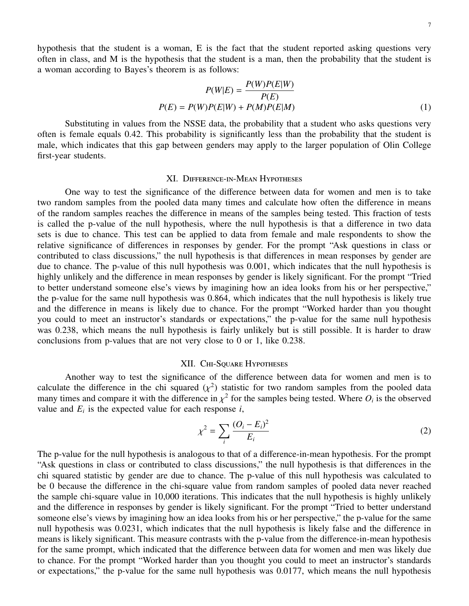hypothesis that the student is a woman, E is the fact that the student reported asking questions very often in class, and M is the hypothesis that the student is a man, then the probability that the student is a woman according to Bayes's theorem is as follows:

$$
P(W|E) = \frac{P(W)P(E|W)}{P(E)}
$$

$$
P(E) = P(W)P(E|W) + P(M)P(E|M)
$$
(1)

Substituting in values from the NSSE data, the probability that a student who asks questions very often is female equals 0.42. This probability is significantly less than the probability that the student is male, which indicates that this gap between genders may apply to the larger population of Olin College first-year students.

## XI. Difference-in-Mean Hypotheses

One way to test the significance of the difference between data for women and men is to take two random samples from the pooled data many times and calculate how often the difference in means of the random samples reaches the difference in means of the samples being tested. This fraction of tests is called the p-value of the null hypothesis, where the null hypothesis is that a difference in two data sets is due to chance. This test can be applied to data from female and male respondents to show the relative significance of differences in responses by gender. For the prompt "Ask questions in class or contributed to class discussions," the null hypothesis is that differences in mean responses by gender are due to chance. The p-value of this null hypothesis was 0.001, which indicates that the null hypothesis is highly unlikely and the difference in mean responses by gender is likely significant. For the prompt "Tried to better understand someone else's views by imagining how an idea looks from his or her perspective," the p-value for the same null hypothesis was 0.864, which indicates that the null hypothesis is likely true and the difference in means is likely due to chance. For the prompt "Worked harder than you thought you could to meet an instructor's standards or expectations," the p-value for the same null hypothesis was 0.238, which means the null hypothesis is fairly unlikely but is still possible. It is harder to draw conclusions from p-values that are not very close to 0 or 1, like 0.238.

# XII. CHI-SQUARE HYPOTHESES

Another way to test the significance of the difference between data for women and men is to calculate the difference in the chi squared  $(\chi^2)$  statistic for two random samples from the pooled data<br>many times and compare it with the difference in  $\chi^2$  for the samples being tested. Where O is the observed many times and compare it with the difference in  $\chi^2$  for the samples being tested. Where  $O_i$  is the observed value for each response *i* value and  $E_i$  is the expected value for each response  $i$ ,

$$
\chi^2 = \sum_i \frac{(O_i - E_i)^2}{E_i} \tag{2}
$$

The p-value for the null hypothesis is analogous to that of a difference-in-mean hypothesis. For the prompt "Ask questions in class or contributed to class discussions," the null hypothesis is that differences in the chi squared statistic by gender are due to chance. The p-value of this null hypothesis was calculated to be 0 because the difference in the chi-square value from random samples of pooled data never reached the sample chi-square value in 10,000 iterations. This indicates that the null hypothesis is highly unlikely and the difference in responses by gender is likely significant. For the prompt "Tried to better understand someone else's views by imagining how an idea looks from his or her perspective," the p-value for the same null hypothesis was 0.0231, which indicates that the null hypothesis is likely false and the difference in means is likely significant. This measure contrasts with the p-value from the difference-in-mean hypothesis for the same prompt, which indicated that the difference between data for women and men was likely due to chance. For the prompt "Worked harder than you thought you could to meet an instructor's standards or expectations," the p-value for the same null hypothesis was 0.0177, which means the null hypothesis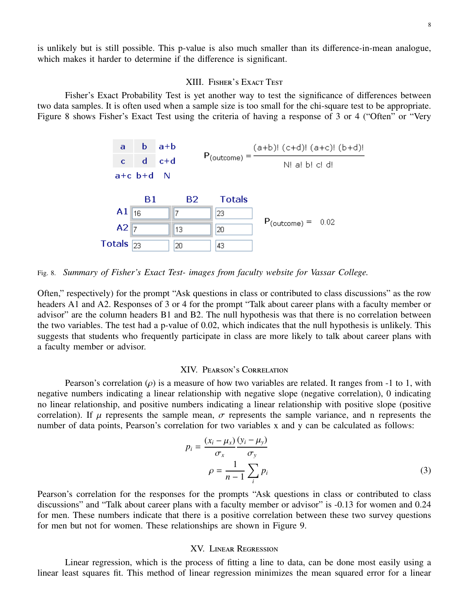is unlikely but is still possible. This p-value is also much smaller than its difference-in-mean analogue, which makes it harder to determine if the difference is significant.

## XIII. Fisher's Exact Test

Fisher's Exact Probability Test is yet another way to test the significance of differences between two data samples. It is often used when a sample size is too small for the chi-square test to be appropriate. Figure 8 shows Fisher's Exact Test using the criteria of having a response of 3 or 4 ("Often" or "Very



Fig. 8. *Summary of Fisher's Exact Test- images from faculty website for Vassar College.*

Often," respectively) for the prompt "Ask questions in class or contributed to class discussions" as the row headers A1 and A2. Responses of 3 or 4 for the prompt "Talk about career plans with a faculty member or advisor" are the column headers B1 and B2. The null hypothesis was that there is no correlation between the two variables. The test had a p-value of 0.02, which indicates that the null hypothesis is unlikely. This suggests that students who frequently participate in class are more likely to talk about career plans with a faculty member or advisor.

#### XIV. Pearson's Correlation

Pearson's correlation ( $\rho$ ) is a measure of how two variables are related. It ranges from -1 to 1, with negative numbers indicating a linear relationship with negative slope (negative correlation), 0 indicating no linear relationship, and positive numbers indicating a linear relationship with positive slope (positive correlation). If  $\mu$  represents the sample mean,  $\sigma$  represents the sample variance, and n represents the number of data points, Pearson's correlation for two variables x and y can be calculated as follows:

$$
p_i = \frac{(x_i - \mu_x)}{\sigma_x} \frac{(y_i - \mu_y)}{\sigma_y}
$$
  

$$
\rho = \frac{1}{n - 1} \sum_i p_i
$$
 (3)

Pearson's correlation for the responses for the prompts "Ask questions in class or contributed to class discussions" and "Talk about career plans with a faculty member or advisor" is -0.13 for women and 0.24 for men. These numbers indicate that there is a positive correlation between these two survey questions for men but not for women. These relationships are shown in Figure 9.

# XV. Linear Regression

Linear regression, which is the process of fitting a line to data, can be done most easily using a linear least squares fit. This method of linear regression minimizes the mean squared error for a linear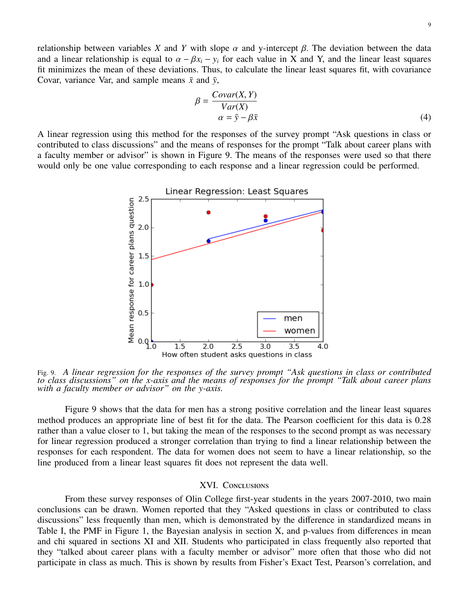relationship between variables *X* and *Y* with slope  $\alpha$  and y-intercept  $\beta$ . The deviation between the data and a linear relationship is equal to  $\alpha - \beta x_i - y_i$  for each value in X and Y, and the linear least squares fit minimizes the mean of these deviations. Thus, to calculate the linear least squares fit, with covariance Covar, variance Var, and sample means  $\bar{x}$  and  $\bar{y}$ ,

$$
\beta = \frac{Covar(X, Y)}{Var(X)} \n\alpha = \bar{y} - \beta \bar{x}
$$
\n(4)

A linear regression using this method for the responses of the survey prompt "Ask questions in class or contributed to class discussions" and the means of responses for the prompt "Talk about career plans with a faculty member or advisor" is shown in Figure 9. The means of the responses were used so that there would only be one value corresponding to each response and a linear regression could be performed.



Fig. 9. *A linear regression for the responses of the survey prompt "Ask questions in class or contributed to class discussions" on the x-axis and the means of responses for the prompt "Talk about career plans with a faculty member or advisor" on the y-axis.*

Figure 9 shows that the data for men has a strong positive correlation and the linear least squares method produces an appropriate line of best fit for the data. The Pearson coefficient for this data is 0.28 rather than a value closer to 1, but taking the mean of the responses to the second prompt as was necessary for linear regression produced a stronger correlation than trying to find a linear relationship between the responses for each respondent. The data for women does not seem to have a linear relationship, so the line produced from a linear least squares fit does not represent the data well.

## XVI. Conclusions

From these survey responses of Olin College first-year students in the years 2007-2010, two main conclusions can be drawn. Women reported that they "Asked questions in class or contributed to class discussions" less frequently than men, which is demonstrated by the difference in standardized means in Table I, the PMF in Figure 1, the Bayesian analysis in section X, and p-values from differences in mean and chi squared in sections XI and XII. Students who participated in class frequently also reported that they "talked about career plans with a faculty member or advisor" more often that those who did not participate in class as much. This is shown by results from Fisher's Exact Test, Pearson's correlation, and